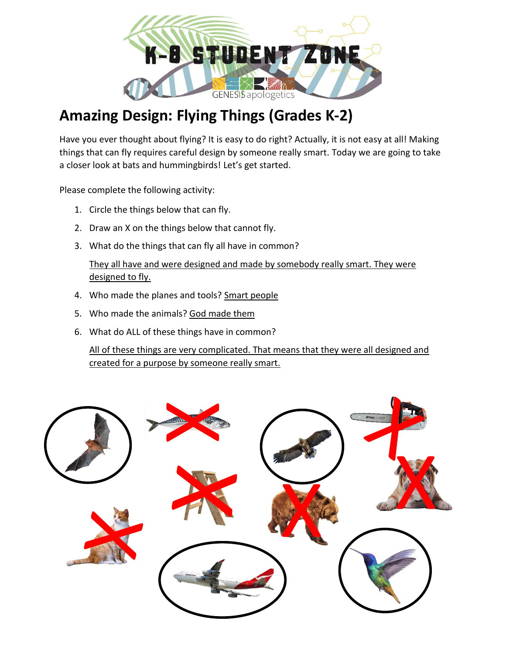

## **Amazing Design: Flying Things (Grades K-2)**

Have you ever thought about flying? It is easy to do right? Actually, it is not easy at all! Making things that can fly requires careful design by someone really smart. Today we are going to take a closer look at bats and hummingbirds! Let's get started.

Please complete the following activity:

- 1. Circle the things below that can fly.
- 2. Draw an X on the things below that cannot fly.
- 3. What do the things that can fly all have in common?

They all have and were designed and made by somebody really smart. They were designed to fly.

- 4. Who made the planes and tools? Smart people
- 5. Who made the animals? God made them
- 6. What do ALL of these things have in common?

All of these things are very complicated. That means that they were all designed and created for a purpose by someone really smart.

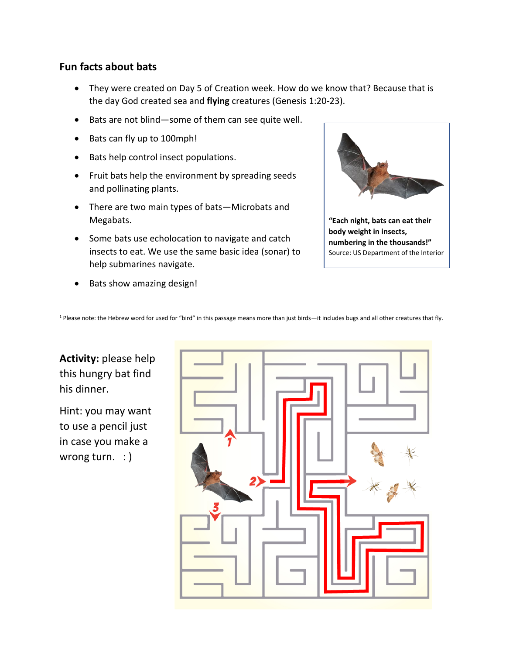## **Fun facts about bats**

- They were created on Day 5 of Creation week. How do we know that? Because that is the day God created sea and **flying** creatures (Genesis 1:20-23).
- Bats are not blind—some of them can see quite well.
- Bats can fly up to 100mph!
- Bats help control insect populations.
- Fruit bats help the environment by spreading seeds and pollinating plants.
- There are two main types of bats—Microbats and Megabats.
- Some bats use echolocation to navigate and catch insects to eat. We use the same basic idea (sonar) to help submarines navigate.
- **"Each night, bats can eat their body weight in insects, numbering in the thousands!"**

Source: US Department of the Interior

• Bats show amazing design!

<sup>1</sup> Please note: the Hebrew word for used for "bird" in this passage means more than just birds—it includes bugs and all other creatures that fly.

**Activity:** please help this hungry bat find his dinner.

Hint: you may want to use a pencil just in case you make a wrong turn. : )